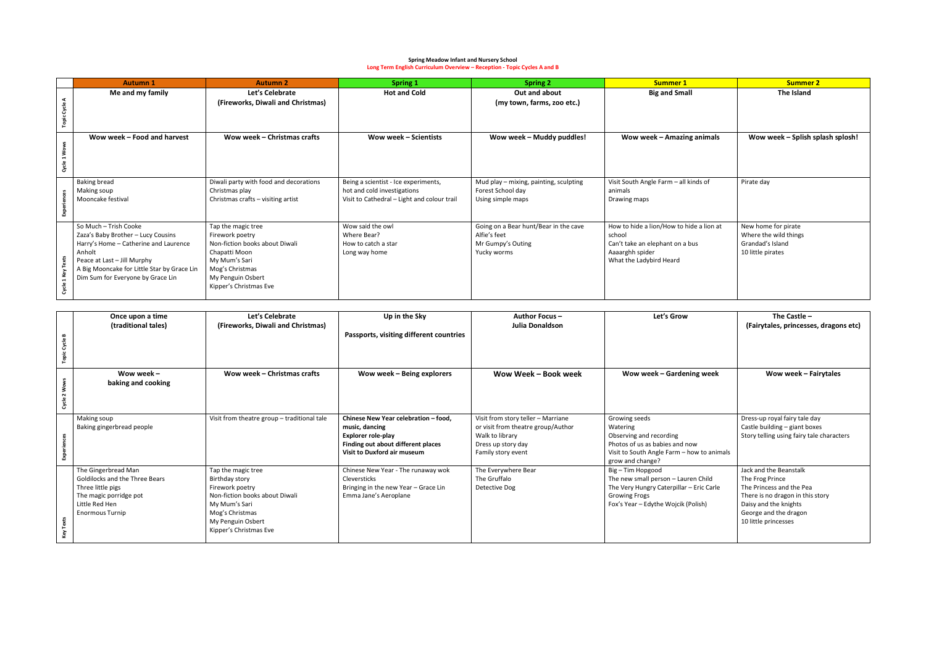## **Spring Meadow Infant and Nursery School Long Term English Curriculum Overview – Reception - Topic Cycles A and B**

|                                 | <b>Autumn 1</b>                                                                                                                                                                                                                   | <b>Autumn 2</b>                                                                                                                                                             | <b>Spring 1</b>                                                                                                    | <b>Spring 2</b>                                                                           | <b>Summer 1</b>                                                                                                                     | <b>Summer 2</b>                                                                       |
|---------------------------------|-----------------------------------------------------------------------------------------------------------------------------------------------------------------------------------------------------------------------------------|-----------------------------------------------------------------------------------------------------------------------------------------------------------------------------|--------------------------------------------------------------------------------------------------------------------|-------------------------------------------------------------------------------------------|-------------------------------------------------------------------------------------------------------------------------------------|---------------------------------------------------------------------------------------|
| ⋖<br>Gycle<br><b>Topic</b>      | Me and my family                                                                                                                                                                                                                  | Let's Celebrate<br>(Fireworks, Diwali and Christmas)                                                                                                                        | <b>Hot and Cold</b>                                                                                                | Out and about<br>(my town, farms, zoo etc.)                                               | <b>Big and Small</b>                                                                                                                | The Island                                                                            |
| Wow<br>$\blacksquare$<br>Cycle: | Wow week – Food and harvest                                                                                                                                                                                                       | Wow week – Christmas crafts                                                                                                                                                 | <b>Wow week - Scientists</b>                                                                                       | Wow week - Muddy puddles!                                                                 | Wow week - Amazing animals                                                                                                          | Wow week - Splish splash splosh!                                                      |
|                                 | <b>Baking bread</b><br>Making soup<br>Mooncake festival                                                                                                                                                                           | Diwali party with food and decorations<br>Christmas play<br>Christmas crafts - visiting artist                                                                              | Being a scientist - Ice experiments,<br>hot and cold investigations<br>Visit to Cathedral - Light and colour trail | Mud play - mixing, painting, sculpting<br>Forest School day<br>Using simple maps          | Visit South Angle Farm - all kinds of<br>animals<br>Drawing maps                                                                    | Pirate day                                                                            |
| 1 Key<br>Cycle                  | So Much - Trish Cooke<br>Zaza's Baby Brother - Lucy Cousins<br>Harry's Home - Catherine and Laurence<br>Anholt<br>Peace at Last - Jill Murphy<br>A Big Mooncake for Little Star by Grace Lin<br>Dim Sum for Everyone by Grace Lin | Tap the magic tree<br>Firework poetry<br>Non-fiction books about Diwali<br>Chapatti Moon<br>My Mum's Sari<br>Mog's Christmas<br>My Penguin Osbert<br>Kipper's Christmas Eve | Wow said the owl<br>Where Bear?<br>How to catch a star<br>Long way home                                            | Going on a Bear hunt/Bear in the cave<br>Alfie's feet<br>Mr Gumpy's Outing<br>Yucky worms | How to hide a lion/How to hide a lion at<br>school<br>Can't take an elephant on a bus<br>Aaaarghh spider<br>What the Ladybird Heard | New home for pirate<br>Where the wild things<br>Grandad's Island<br>10 little pirates |

|                  | Once upon a time                      | Let's Celebrate                             | Up in the Sky                           | <b>Author Focus -</b>              | Let's Grow                                 | The Castle $-$                            |
|------------------|---------------------------------------|---------------------------------------------|-----------------------------------------|------------------------------------|--------------------------------------------|-------------------------------------------|
|                  | (traditional tales)                   | (Fireworks, Diwali and Christmas)           |                                         | Julia Donaldson                    |                                            | (Fairytales, princesses, dragons etc)     |
| $\bullet$        |                                       |                                             | Passports, visiting different countries |                                    |                                            |                                           |
| Cycle            |                                       |                                             |                                         |                                    |                                            |                                           |
| ö                |                                       |                                             |                                         |                                    |                                            |                                           |
|                  |                                       |                                             |                                         |                                    |                                            |                                           |
|                  | Wow week -                            | Wow week - Christmas crafts                 | Wow week - Being explorers              | Wow Week - Book week               | Wow week - Gardening week                  | Wow week - Fairytales                     |
|                  | baking and cooking                    |                                             |                                         |                                    |                                            |                                           |
| ş<br>$\sim$      |                                       |                                             |                                         |                                    |                                            |                                           |
| Cycle            |                                       |                                             |                                         |                                    |                                            |                                           |
|                  |                                       |                                             |                                         |                                    |                                            |                                           |
|                  | Making soup                           | Visit from theatre group - traditional tale | Chinese New Year celebration - food.    | Visit from story teller - Marriane | Growing seeds                              | Dress-up royal fairy tale day             |
|                  | Baking gingerbread people             |                                             | music, dancing                          | or visit from theatre group/Author | Watering                                   | Castle building - giant boxes             |
|                  |                                       |                                             | <b>Explorer role-play</b>               | Walk to library                    | Observing and recording                    | Story telling using fairy tale characters |
|                  |                                       |                                             | Finding out about different places      | Dress up story day                 | Photos of us as babies and now             |                                           |
| Å                |                                       |                                             | Visit to Duxford air museum             | Family story event                 | Visit to South Angle Farm - how to animals |                                           |
|                  |                                       |                                             |                                         |                                    | grow and change?                           |                                           |
|                  | The Gingerbread Man                   | Tap the magic tree                          | Chinese New Year - The runaway wok      | The Everywhere Bear                | Big - Tim Hopgood                          | Jack and the Beanstalk                    |
|                  | <b>Goldilocks and the Three Bears</b> | Birthday story                              | Cleversticks                            | The Gruffalo                       | The new small person - Lauren Child        | The Frog Prince                           |
|                  | Three little pigs                     | Firework poetry                             | Bringing in the new Year - Grace Lin    | Detective Dog                      | The Very Hungry Caterpillar - Eric Carle   | The Princess and the Pea                  |
|                  | The magic porridge pot                | Non-fiction books about Diwali              | Emma Jane's Aeroplane                   |                                    | <b>Growing Frogs</b>                       | There is no dragon in this story          |
|                  | Little Red Hen                        | My Mum's Sari                               |                                         |                                    | Fox's Year – Edythe Wojcik (Polish)        | Daisy and the knights                     |
|                  | <b>Enormous Turnip</b>                | Mog's Christmas                             |                                         |                                    |                                            | George and the dragon                     |
| Texts            |                                       | My Penguin Osbert                           |                                         |                                    |                                            | 10 little princesses                      |
| Key <sup>-</sup> |                                       | Kipper's Christmas Eve                      |                                         |                                    |                                            |                                           |
|                  |                                       |                                             |                                         |                                    |                                            |                                           |